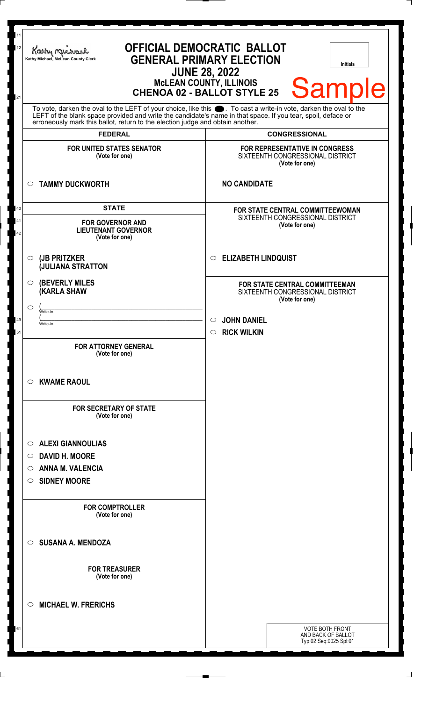| 11<br>12<br>21 | <b>OFFICIAL DEMOCRATIC BALLOT</b><br>Kathy Michael<br><b>GENERAL PRIMARY ELECTION</b><br>Kathy Michael, McLean County Clerk<br><b>Initials</b><br><b>JUNE 28, 2022</b><br><b>MCLEAN COUNTY, ILLINOIS</b><br><b>Sample</b><br><b>CHENOA 02 - BALLOT STYLE 25</b>                                                        |                                                                                                                       |  |
|----------------|------------------------------------------------------------------------------------------------------------------------------------------------------------------------------------------------------------------------------------------------------------------------------------------------------------------------|-----------------------------------------------------------------------------------------------------------------------|--|
|                | To vote, darken the oval to the LEFT of your choice, like this $\bullet$ . To cast a write-in vote, darken the oval to the LEFT of the blank space provided and write the candidate's name in that space. If you tear, spoil, deface<br>erroneously mark this ballot, return to the election judge and obtain another. |                                                                                                                       |  |
|                | <b>FEDERAL</b>                                                                                                                                                                                                                                                                                                         | <b>CONGRESSIONAL</b>                                                                                                  |  |
|                | <b>FOR UNITED STATES SENATOR</b><br>(Vote for one)                                                                                                                                                                                                                                                                     | FOR REPRESENTATIVE IN CONGRESS<br>SIXTEENTH CONGRESSIONAL DISTRICT<br>(Vote for one)                                  |  |
|                | <b>TAMMY DUCKWORTH</b><br>$\circ$                                                                                                                                                                                                                                                                                      | <b>NO CANDIDATE</b>                                                                                                   |  |
| 40<br>41<br>42 | <b>STATE</b><br><b>FOR GOVERNOR AND</b><br><b>LIEUTENANT GOVERNOR</b><br>(Vote for one)                                                                                                                                                                                                                                | FOR STATE CENTRAL COMMITTEEWOMAN<br>SIXTEENTH CONGRESSIONAL DISTRICT<br>(Vote for one)                                |  |
|                | (JB PRITZKER<br>$\circlearrowright$<br><b>JULIANA STRATTON</b>                                                                                                                                                                                                                                                         | <b>ELIZABETH LINDQUIST</b><br>$\circ$                                                                                 |  |
| 49             | <b>(BEVERLY MILES)</b><br>$\circ$<br>(KARLA SHAW<br>◯<br>Write-in<br>Write-in                                                                                                                                                                                                                                          | FOR STATE CENTRAL COMMITTEEMAN<br>SIXTEENTH CONGRESSIONAL DISTRICT<br>(Vote for one)<br><b>JOHN DANIEL</b><br>$\circ$ |  |
| 51             | <b>FOR ATTORNEY GENERAL</b><br>(Vote for one)                                                                                                                                                                                                                                                                          | <b>RICK WILKIN</b><br>$\circ$                                                                                         |  |
|                | <b>KWAME RAOUL</b><br>O<br><b>FOR SECRETARY OF STATE</b><br>(Vote for one)                                                                                                                                                                                                                                             |                                                                                                                       |  |
|                | <b>ALEXI GIANNOULIAS</b><br>$\circlearrowright$<br><b>DAVID H. MOORE</b><br>$\circ$<br><b>ANNA M. VALENCIA</b><br>O<br><b>SIDNEY MOORE</b><br>O                                                                                                                                                                        |                                                                                                                       |  |
|                | <b>FOR COMPTROLLER</b><br>(Vote for one)                                                                                                                                                                                                                                                                               |                                                                                                                       |  |
|                | <b>SUSANA A. MENDOZA</b><br>$\circ$                                                                                                                                                                                                                                                                                    |                                                                                                                       |  |
|                | <b>FOR TREASURER</b><br>(Vote for one)                                                                                                                                                                                                                                                                                 |                                                                                                                       |  |
|                | <b>MICHAEL W. FRERICHS</b><br>◯                                                                                                                                                                                                                                                                                        |                                                                                                                       |  |
| 61             |                                                                                                                                                                                                                                                                                                                        | <b>VOTE BOTH FRONT</b><br>AND BACK OF BALLOT<br>Typ:02 Seq:0025 Spl:01                                                |  |

 $\perp$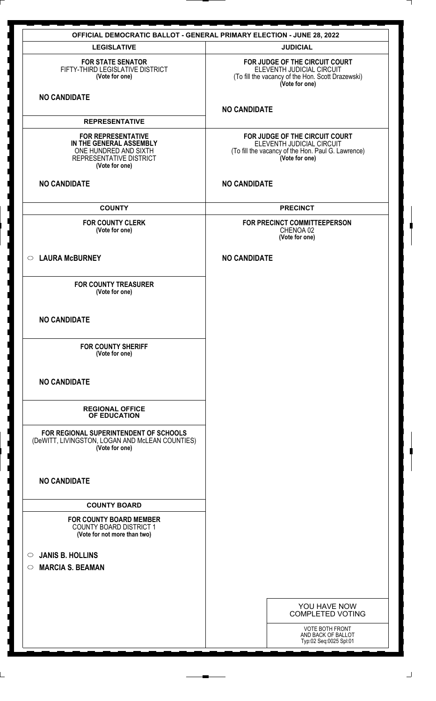|                                                                                                                            | <b>OFFICIAL DEMOCRATIC BALLOT - GENERAL PRIMARY ELECTION - JUNE 28, 2022</b>                                                        |
|----------------------------------------------------------------------------------------------------------------------------|-------------------------------------------------------------------------------------------------------------------------------------|
| <b>LEGISLATIVE</b>                                                                                                         | <b>JUDICIAL</b>                                                                                                                     |
| <b>FOR STATE SENATOR</b><br>FIFTY-THIRD LEGISLATIVE DISTRICT<br>(Vote for one)                                             | FOR JUDGE OF THE CIRCUIT COURT<br>ELEVENTH JUDICIAL CIRCUIT<br>(To fill the vacancy of the Hon. Scott Drazewski)<br>(Vote for one)  |
| <b>NO CANDIDATE</b>                                                                                                        | <b>NO CANDIDATE</b>                                                                                                                 |
| <b>REPRESENTATIVE</b>                                                                                                      |                                                                                                                                     |
| <b>FOR REPRESENTATIVE</b><br>IN THE GENERAL ASSEMBLY<br>ONE HUNDRED AND SIXTH<br>REPRESENTATIVE DISTRICT<br>(Vote for one) | FOR JUDGE OF THE CIRCUIT COURT<br>ELEVENTH JUDICIAL CIRCUIT<br>(To fill the vacancy of the Hon. Paul G. Lawrence)<br>(Vote for one) |
| <b>NO CANDIDATE</b>                                                                                                        | <b>NO CANDIDATE</b>                                                                                                                 |
| <b>COUNTY</b>                                                                                                              | <b>PRECINCT</b>                                                                                                                     |
| <b>FOR COUNTY CLERK</b><br>(Vote for one)                                                                                  | FOR PRECINCT COMMITTEEPERSON<br>CHENOA 02<br>(Vote for one)                                                                         |
| <b>LAURA McBURNEY</b><br>$\circ$                                                                                           | <b>NO CANDIDATE</b>                                                                                                                 |
| <b>FOR COUNTY TREASURER</b><br>(Vote for one)                                                                              |                                                                                                                                     |
| <b>NO CANDIDATE</b>                                                                                                        |                                                                                                                                     |
| <b>FOR COUNTY SHERIFF</b><br>(Vote for one)                                                                                |                                                                                                                                     |
| <b>NO CANDIDATE</b>                                                                                                        |                                                                                                                                     |
| <b>REGIONAL OFFICE</b><br>OF EDUCATION                                                                                     |                                                                                                                                     |
| FOR REGIONAL SUPERINTENDENT OF SCHOOLS<br>(DeWITT, LIVINGSTON, LOGAN AND McLEAN COUNTIES)<br>(Vote for one)                |                                                                                                                                     |
| <b>NO CANDIDATE</b>                                                                                                        |                                                                                                                                     |
| <b>COUNTY BOARD</b>                                                                                                        |                                                                                                                                     |
| <b>FOR COUNTY BOARD MEMBER</b><br><b>COUNTY BOARD DISTRICT 1</b><br>(Vote for not more than two)                           |                                                                                                                                     |
| <b>JANIS B. HOLLINS</b><br>$\circ$                                                                                         |                                                                                                                                     |
| <b>MARCIA S. BEAMAN</b><br>$\circ$                                                                                         |                                                                                                                                     |
|                                                                                                                            |                                                                                                                                     |
|                                                                                                                            |                                                                                                                                     |
|                                                                                                                            | YOU HAVE NOW<br><b>COMPLETED VOTING</b>                                                                                             |
|                                                                                                                            | VOTE BOTH FRONT<br>AND BACK OF BALLOT<br>Typ:02 Seq:0025 Spl:01                                                                     |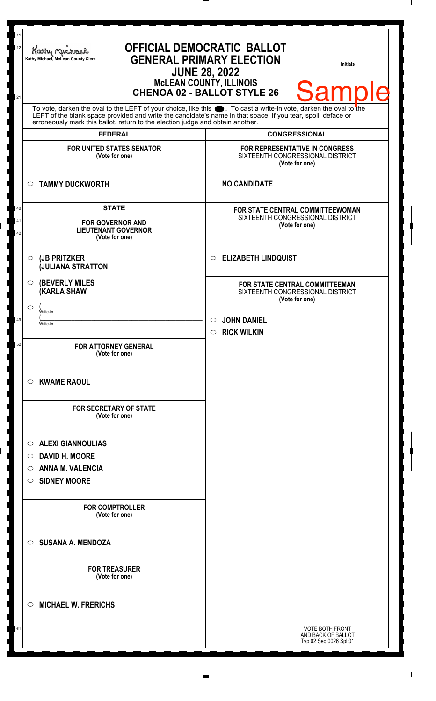| 12<br>21                                                                                                                                                                                                                                                                                                         | Kathy Me<br>Kathy Michael, McLean County Clerk<br><b>JUNE 28, 2022</b>                  | <b>OFFICIAL DEMOCRATIC BALLOT</b><br><b>GENERAL PRIMARY ELECTION</b><br><b>Initials</b><br><b>McLEAN COUNTY, ILLINOIS</b><br><b>Sample</b><br><b>CHENOA 02 - BALLOT STYLE 26</b> |
|------------------------------------------------------------------------------------------------------------------------------------------------------------------------------------------------------------------------------------------------------------------------------------------------------------------|-----------------------------------------------------------------------------------------|----------------------------------------------------------------------------------------------------------------------------------------------------------------------------------|
| To vote, darken the oval to the LEFT of your choice, like this section To cast a write-in vote, darken the oval to the LEFT of the blank space provided and write the candidate's name in that space. If you tear, spoil, defa<br>erroneously mark this ballot, return to the election judge and obtain another. |                                                                                         |                                                                                                                                                                                  |
|                                                                                                                                                                                                                                                                                                                  | <b>FEDERAL</b>                                                                          | <b>CONGRESSIONAL</b>                                                                                                                                                             |
|                                                                                                                                                                                                                                                                                                                  | <b>FOR UNITED STATES SENATOR</b><br>(Vote for one)                                      | FOR REPRESENTATIVE IN CONGRESS<br>SIXTEENTH CONGRESSIONAL DISTRICT<br>(Vote for one)                                                                                             |
|                                                                                                                                                                                                                                                                                                                  | <b>TAMMY DUCKWORTH</b><br>$\circ$                                                       | <b>NO CANDIDATE</b>                                                                                                                                                              |
| 40<br>41<br>42                                                                                                                                                                                                                                                                                                   | <b>STATE</b><br><b>FOR GOVERNOR AND</b><br><b>LIEUTENANT GOVERNOR</b><br>(Vote for one) | FOR STATE CENTRAL COMMITTEEWOMAN<br>SIXTEENTH CONGRESSIONAL DISTRICT<br>(Vote for one)                                                                                           |
|                                                                                                                                                                                                                                                                                                                  | (JB PRITZKER<br>$\circ$<br><b>JULIANA STRATTON</b>                                      | <b>ELIZABETH LINDQUIST</b><br>$\circ$                                                                                                                                            |
|                                                                                                                                                                                                                                                                                                                  | <b>(BEVERLY MILES)</b><br>$\circ$<br><b>(KARLA SHAW</b>                                 | FOR STATE CENTRAL COMMITTEEMAN<br>SIXTEENTH CONGRESSIONAL DISTRICT<br>(Vote for one)                                                                                             |
|                                                                                                                                                                                                                                                                                                                  | ⌒<br>Write-in                                                                           |                                                                                                                                                                                  |
| 49                                                                                                                                                                                                                                                                                                               | Write-in                                                                                | <b>JOHN DANIEL</b><br>$\circ$                                                                                                                                                    |
| 52                                                                                                                                                                                                                                                                                                               |                                                                                         | <b>RICK WILKIN</b><br>$\circ$                                                                                                                                                    |
|                                                                                                                                                                                                                                                                                                                  | <b>FOR ATTORNEY GENERAL</b><br>(Vote for one)                                           |                                                                                                                                                                                  |
|                                                                                                                                                                                                                                                                                                                  | <b>KWAME RAOUL</b><br>$\circ$                                                           |                                                                                                                                                                                  |
|                                                                                                                                                                                                                                                                                                                  | <b>FOR SECRETARY OF STATE</b><br>(Vote for one)                                         |                                                                                                                                                                                  |
|                                                                                                                                                                                                                                                                                                                  | <b>ALEXI GIANNOULIAS</b><br>$\circ$                                                     |                                                                                                                                                                                  |
|                                                                                                                                                                                                                                                                                                                  | <b>DAVID H. MOORE</b><br>$\circ$                                                        |                                                                                                                                                                                  |
|                                                                                                                                                                                                                                                                                                                  | <b>ANNA M. VALENCIA</b><br>$\circ$                                                      |                                                                                                                                                                                  |
|                                                                                                                                                                                                                                                                                                                  | <b>SIDNEY MOORE</b><br>$\circ$                                                          |                                                                                                                                                                                  |
|                                                                                                                                                                                                                                                                                                                  | <b>FOR COMPTROLLER</b><br>(Vote for one)                                                |                                                                                                                                                                                  |
|                                                                                                                                                                                                                                                                                                                  | <b>SUSANA A. MENDOZA</b><br>$\bigcirc$                                                  |                                                                                                                                                                                  |
|                                                                                                                                                                                                                                                                                                                  | <b>FOR TREASURER</b><br>(Vote for one)                                                  |                                                                                                                                                                                  |
|                                                                                                                                                                                                                                                                                                                  | <b>MICHAEL W. FRERICHS</b><br>◯                                                         |                                                                                                                                                                                  |
| 61                                                                                                                                                                                                                                                                                                               |                                                                                         | <b>VOTE BOTH FRONT</b><br>AND BACK OF BALLOT<br>Typ:02 Seq:0026 Spl:01                                                                                                           |